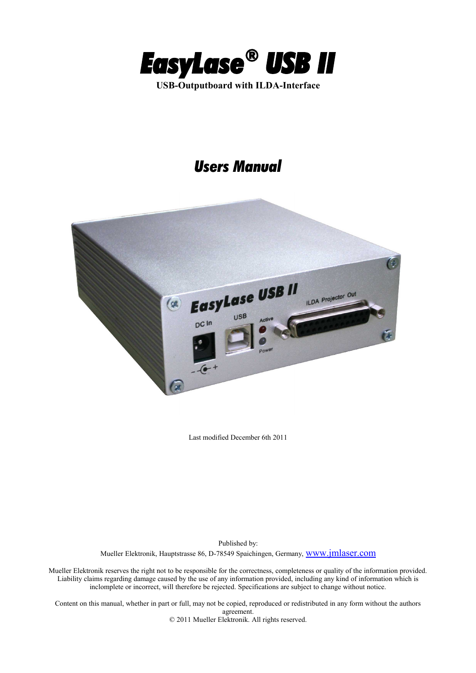

# *Users Manual*



Last modified December 6th 2011

Published by: Mueller Elektronik, Hauptstrasse 86, D-78549 Spaichingen, Germany, [www.jmlaser.com](http://www.jmlaser.com/)

Mueller Elektronik reserves the right not to be responsible for the correctness, completeness or quality of the information provided. Liability claims regarding damage caused by the use of any information provided, including any kind of information which is inclomplete or incorrect, will therefore be rejected. Specifications are subject to change without notice.

Content on this manual, whether in part or full, may not be copied, reproduced or redistributed in any form without the authors agreement. © 2011 Mueller Elektronik. All rights reserved.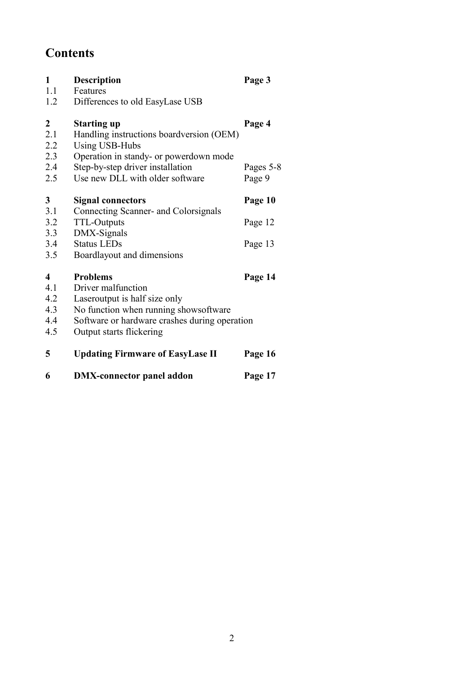# **Contents**

| 1            | <b>Description</b>                            | Page 3    |
|--------------|-----------------------------------------------|-----------|
| 1.1          | Features                                      |           |
| 1.2          | Differences to old EasyLase USB               |           |
| 2            | <b>Starting up</b>                            | Page 4    |
| 2.1          | Handling instructions boardversion (OEM)      |           |
| 2.2          | <b>Using USB-Hubs</b>                         |           |
| 2.3          | Operation in standy- or powerdown mode        |           |
| 2.4          | Step-by-step driver installation              | Pages 5-8 |
| 2.5          | Use new DLL with older software               | Page 9    |
| $\mathbf{3}$ | <b>Signal connectors</b>                      | Page 10   |
| 3.1          | Connecting Scanner- and Colorsignals          |           |
| 3.2          | <b>TTL-Outputs</b>                            | Page 12   |
| 3.3          | DMX-Signals                                   |           |
| 3.4          | <b>Status LEDs</b>                            | Page 13   |
| 3.5          | Boardlayout and dimensions                    |           |
| 4            | <b>Problems</b>                               | Page 14   |
| 4.1          | Driver malfunction                            |           |
| 4.2          | Laseroutput is half size only                 |           |
| 4.3          | No function when running shows of tware       |           |
| 4.4          | Software or hardware crashes during operation |           |
| 4.5          | Output starts flickering                      |           |
| 5            | <b>Updating Firmware of EasyLase II</b>       | Page 16   |
| 6            | <b>DMX-connector panel addon</b>              | Page 17   |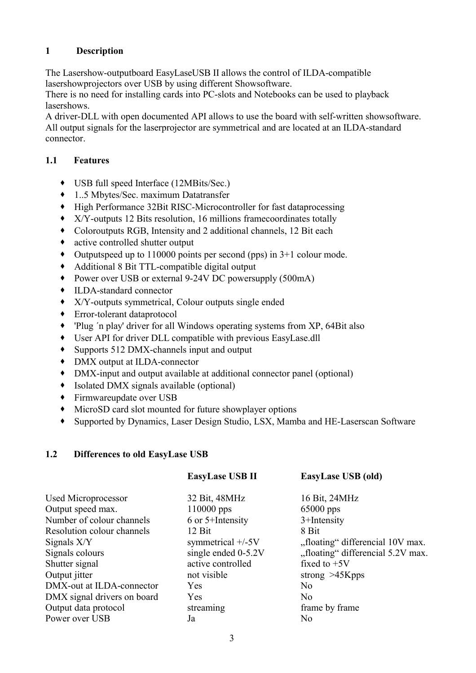# **1 Description**

The Lasershow-outputboard EasyLaseUSB II allows the control of ILDA-compatible lasershowprojectors over USB by using different Showsoftware.

There is no need for installing cards into PC-slots and Notebooks can be used to playback lasershows.

A driver-DLL with open documented API allows to use the board with self-written showsoftware. All output signals for the laserprojector are symmetrical and are located at an ILDA-standard connector.

# **1.1 Features**

- USB full speed Interface (12MBits/Sec.)
- 1..5 Mbytes/Sec. maximum Datatransfer
- High Performance 32Bit RISC-Microcontroller for fast dataprocessing
- X/Y-outputs 12 Bits resolution, 16 millions framecoordinates totally
- Coloroutputs RGB, Intensity and 2 additional channels, 12 Bit each
- active controlled shutter output
- Outputspeed up to 110000 points per second (pps) in 3+1 colour mode.
- Additional 8 Bit TTL-compatible digital output
- ◆ Power over USB or external 9-24V DC powersupply (500mA)
- ILDA-standard connector
- X/Y-outputs symmetrical, Colour outputs single ended
- Error-tolerant dataprotocol
- 'Plug ´n play' driver for all Windows operating systems from XP, 64Bit also
- User API for driver DLL compatible with previous EasyLase.dll
- Supports 512 DMX-channels input and output
- DMX output at ILDA-connector
- DMX-input and output available at additional connector panel (optional)
- Isolated DMX signals available (optional)
- Firmwareupdate over USB
- MicroSD card slot mounted for future showplayer options
- Supported by Dynamics, Laser Design Studio, LSX, Mamba and HE-Laserscan Software

# **1.2 Differences to old EasyLase USB**

|                             | <b>EasyLase USB II</b> | EasyLase USB (old)                |
|-----------------------------|------------------------|-----------------------------------|
| Used Microprocessor         | 32 Bit, 48MHz          | 16 Bit, 24MHz                     |
| Output speed max.           | 110000 pps             | $65000$ pps                       |
| Number of colour channels   | 6 or 5+Intensity       | 3+Intensity                       |
| Resolution colour channels  | 12 Bit                 | 8 Bit                             |
| Signals X/Y                 | symmetrical $+/-5V$    | "floating" differencial 10V max.  |
| Signals colours             | single ended $0-5.2V$  | "floating" differencial 5.2V max. |
| Shutter signal              | active controlled      | fixed to $+5V$                    |
| Output jitter               | not visible            | strong $>45Kpps$                  |
| DMX-out at ILDA-connector   | Yes                    | N <sub>0</sub>                    |
| DMX signal drivers on board | Yes                    | No                                |
| Output data protocol        | streaming              | frame by frame                    |
| Power over USB              | Ja                     | N <sub>0</sub>                    |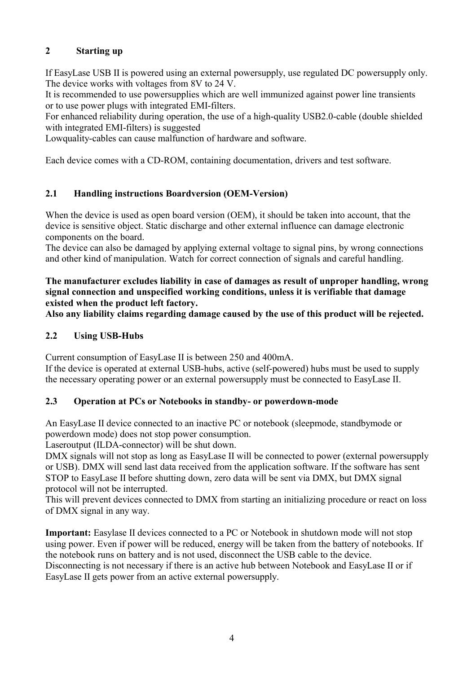# **2 Starting up**

If EasyLase USB II is powered using an external powersupply, use regulated DC powersupply only. The device works with voltages from 8V to 24 V.

It is recommended to use powersupplies which are well immunized against power line transients or to use power plugs with integrated EMI-filters.

For enhanced reliability during operation, the use of a high-quality USB2.0-cable (double shielded with integrated EMI-filters) is suggested

Lowquality-cables can cause malfunction of hardware and software.

Each device comes with a CD-ROM, containing documentation, drivers and test software.

## **2.1 Handling instructions Boardversion (OEM-Version)**

When the device is used as open board version (OEM), it should be taken into account, that the device is sensitive object. Static discharge and other external influence can damage electronic components on the board.

The device can also be damaged by applying external voltage to signal pins, by wrong connections and other kind of manipulation. Watch for correct connection of signals and careful handling.

**The manufacturer excludes liability in case of damages as result of unproper handling, wrong signal connection and unspecified working conditions, unless it is verifiable that damage existed when the product left factory.**

**Also any liability claims regarding damage caused by the use of this product will be rejected.** 

# **2.2 Using USB-Hubs**

Current consumption of EasyLase II is between 250 and 400mA.

If the device is operated at external USB-hubs, active (self-powered) hubs must be used to supply the necessary operating power or an external powersupply must be connected to EasyLase II.

#### **2.3 Operation at PCs or Notebooks in standby- or powerdown-mode**

An EasyLase II device connected to an inactive PC or notebook (sleepmode, standbymode or powerdown mode) does not stop power consumption.

Laseroutput (ILDA-connector) will be shut down.

DMX signals will not stop as long as EasyLase II will be connected to power (external powersupply or USB). DMX will send last data received from the application software. If the software has sent STOP to EasyLase II before shutting down, zero data will be sent via DMX, but DMX signal protocol will not be interrupted.

This will prevent devices connected to DMX from starting an initializing procedure or react on loss of DMX signal in any way.

**Important:** Easylase II devices connected to a PC or Notebook in shutdown mode will not stop using power. Even if power will be reduced, energy will be taken from the battery of notebooks. If the notebook runs on battery and is not used, disconnect the USB cable to the device. Disconnecting is not necessary if there is an active hub between Notebook and EasyLase II or if EasyLase II gets power from an active external powersupply.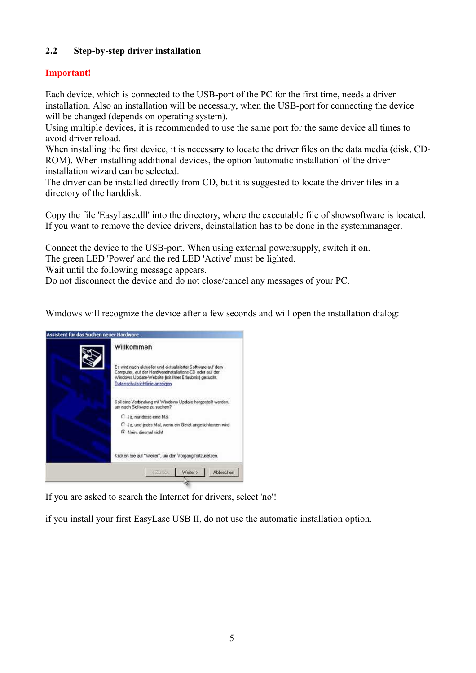# **2.2 Step-by-step driver installation**

# **Important!**

Each device, which is connected to the USB-port of the PC for the first time, needs a driver installation. Also an installation will be necessary, when the USB-port for connecting the device will be changed (depends on operating system).

Using multiple devices, it is recommended to use the same port for the same device all times to avoid driver reload.

When installing the first device, it is necessary to locate the driver files on the data media (disk, CD-ROM). When installing additional devices, the option 'automatic installation' of the driver installation wizard can be selected.

The driver can be installed directly from CD, but it is suggested to locate the driver files in a directory of the harddisk.

Copy the file 'EasyLase.dll' into the directory, where the executable file of showsoftware is located. If you want to remove the device drivers, deinstallation has to be done in the systemmanager.

Connect the device to the USB-port. When using external powersupply, switch it on.

The green LED 'Power' and the red LED 'Active' must be lighted.

Wait until the following message appears.

Do not disconnect the device and do not close/cancel any messages of your PC.

Windows will recognize the device after a few seconds and will open the installation dialog:



If you are asked to search the Internet for drivers, select 'no'!

if you install your first EasyLase USB II, do not use the automatic installation option.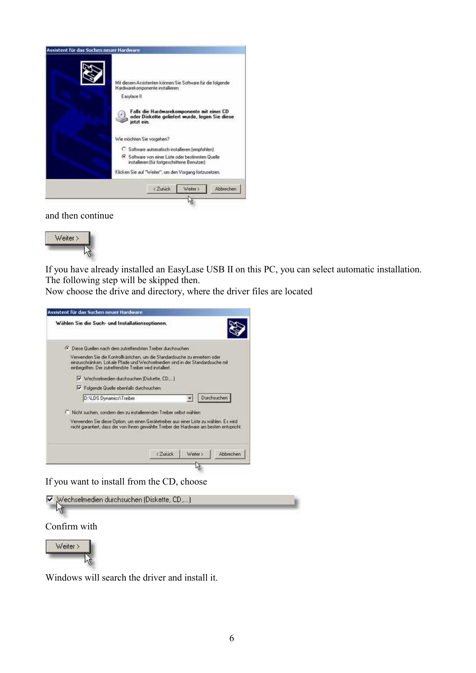

#### and then continue



If you have already installed an EasyLase USB II on this PC, you can select automatic installation. The following step will be skipped then.

Now choose the drive and directory, where the driver files are located



If you want to install from the CD, choose



Windows will search the driver and install it.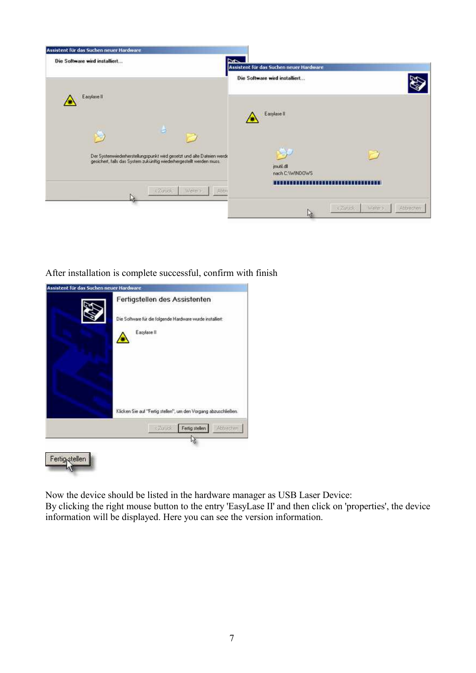

After installation is complete successful, confirm with finish

| Assistent für das Suchen neuer Hardware | Fertigstellen des Assistenten                                            |
|-----------------------------------------|--------------------------------------------------------------------------|
|                                         | Die Software für die folgende Hardware wurde installiert:<br>Easylase II |
|                                         | Klicken Sie auf "Fertig stellen", um den Vorgang abzuschließen.          |
|                                         | <zurück<br>Fertig stellen<br/>Abbrechen</zurück<br>                      |

切

Now the device should be listed in the hardware manager as USB Laser Device: By clicking the right mouse button to the entry 'EasyLase II' and then click on 'properties', the device information will be displayed. Here you can see the version information.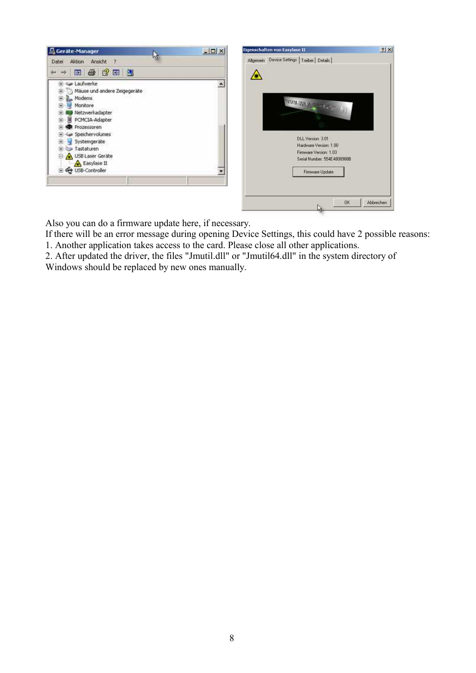

Also you can do a firmware update here, if necessary.

If there will be an error message during opening Device Settings, this could have 2 possible reasons: 1. Another application takes access to the card. Please close all other applications.

2. After updated the driver, the files "Jmutil.dll" or "Jmutil64.dll" in the system directory of Windows should be replaced by new ones manually.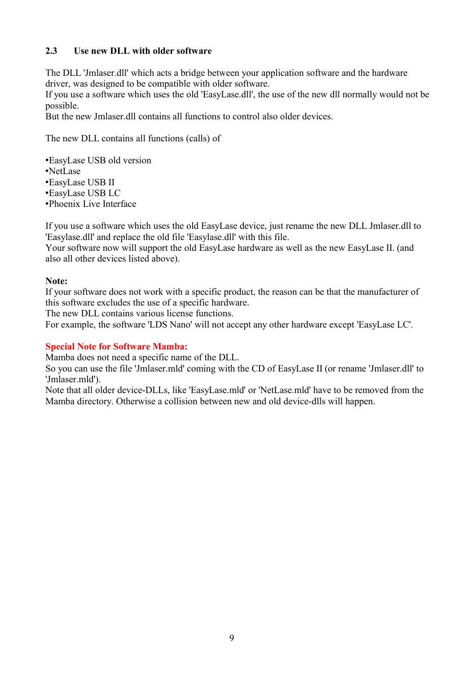## **2.3 Use new DLL with older software**

The DLL 'Jmlaser.dll' which acts a bridge between your application software and the hardware driver, was designed to be compatible with older software.

If you use a software which uses the old 'EasyLase.dll', the use of the new dll normally would not be possible.

But the new Jmlaser.dll contains all functions to control also older devices.

The new DLL contains all functions (calls) of

•EasyLase USB old version

- •NetLase
- •EasyLase USB II

•EasyLase USB LC

•Phoenix Live Interface

If you use a software which uses the old EasyLase device, just rename the new DLL Jmlaser.dll to 'Easylase.dll' and replace the old file 'Easylase.dll' with this file.

Your software now will support the old EasyLase hardware as well as the new EasyLase II. (and also all other devices listed above).

#### **Note:**

If your software does not work with a specific product, the reason can be that the manufacturer of this software excludes the use of a specific hardware.

The new DLL contains various license functions.

For example, the software 'LDS Nano' will not accept any other hardware except 'EasyLase LC'.

#### **Special Note for Software Mamba:**

Mamba does not need a specific name of the DLL.

So you can use the file 'Jmlaser.mld' coming with the CD of EasyLase II (or rename 'Jmlaser.dll' to 'Jmlaser.mld').

Note that all older device-DLLs, like 'EasyLase.mld' or 'NetLase.mld' have to be removed from the Mamba directory. Otherwise a collision between new and old device-dlls will happen.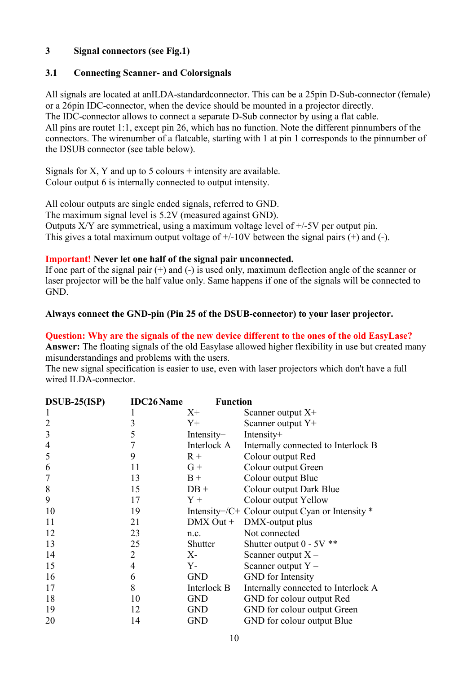## **3 Signal connectors (see Fig.1)**

#### **3.1 Connecting Scanner- and Colorsignals**

All signals are located at anILDA-standardconnector. This can be a 25pin D-Sub-connector (female) or a 26pin IDC-connector, when the device should be mounted in a projector directly. The IDC-connector allows to connect a separate D-Sub connector by using a flat cable. All pins are routet 1:1, except pin 26, which has no function. Note the different pinnumbers of the connectors. The wirenumber of a flatcable, starting with 1 at pin 1 corresponds to the pinnumber of the DSUB connector (see table below).

Signals for X, Y and up to  $5$  colours + intensity are available. Colour output 6 is internally connected to output intensity.

All colour outputs are single ended signals, referred to GND. The maximum signal level is 5.2V (measured against GND). Outputs  $X/Y$  are symmetrical, using a maximum voltage level of  $\pm/5V$  per output pin. This gives a total maximum output voltage of  $+/10V$  between the signal pairs  $(+)$  and  $(-)$ .

#### **Important! Never let one half of the signal pair unconnected.**

If one part of the signal pair  $(+)$  and  $(-)$  is used only, maximum deflection angle of the scanner or laser projector will be the half value only. Same happens if one of the signals will be connected to GND.

#### **Always connect the GND-pin (Pin 25 of the DSUB-connector) to your laser projector.**

#### **Question: Why are the signals of the new device different to the ones of the old EasyLase?**

**Answer:** The floating signals of the old Easylase allowed higher flexibility in use but created many misunderstandings and problems with the users.

The new signal specification is easier to use, even with laser projectors which don't have a full wired ILDA-connector.

| $DSUB-25(ISP)$ | <b>IDC26Name</b> | <b>Function</b> |                                                 |
|----------------|------------------|-----------------|-------------------------------------------------|
|                |                  | $X^+$           | Scanner output $X^+$                            |
| $\overline{2}$ | 3                | $Y_{+}$         | Scanner output Y+                               |
| 3              | 5                | Intensity $+$   | Intensity+                                      |
| 4              | 7                | Interlock A     | Internally connected to Interlock B             |
| 5              | 9                | $R +$           | Colour output Red                               |
| 6              | 11               | $G +$           | Colour output Green                             |
|                | 13               | $B +$           | Colour output Blue                              |
| 8              | 15               | $DB +$          | Colour output Dark Blue                         |
| 9              | 17               | $Y +$           | Colour output Yellow                            |
| 10             | 19               |                 | Intensity+/C+ Colour output Cyan or Intensity * |
| 11             | 21               | $DMX Out +$     | DMX-output plus                                 |
| 12             | 23               | n.c.            | Not connected                                   |
| 13             | 25               | Shutter         | Shutter output $0 - 5V$ **                      |
| 14             | 2                | $X-$            | Scanner output $X -$                            |
| 15             | 4                | Y-              | Scanner output $Y -$                            |
| 16             | 6                | <b>GND</b>      | <b>GND</b> for Intensity                        |
| 17             | 8                | Interlock B     | Internally connected to Interlock A             |
| 18             | 10               | <b>GND</b>      | GND for colour output Red                       |
| 19             | 12               | <b>GND</b>      | GND for colour output Green                     |
| 20             | 14               | <b>GND</b>      | GND for colour output Blue                      |
|                |                  |                 |                                                 |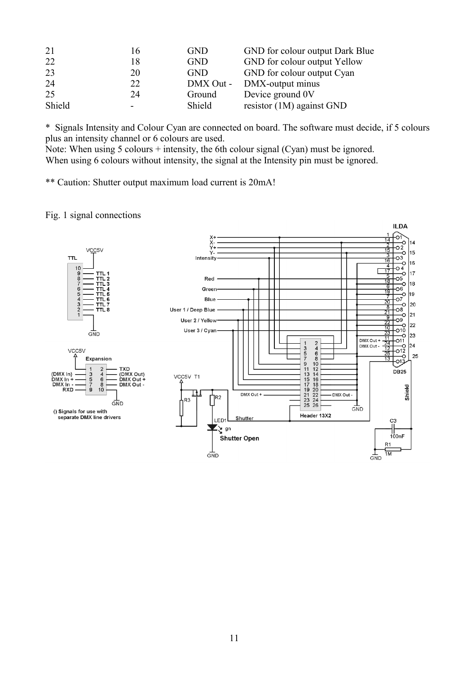| 21     | 16 | <b>GND</b> | GND for colour output Dark Blue |
|--------|----|------------|---------------------------------|
| 22     | 18 | <b>GND</b> | GND for colour output Yellow    |
| 23     | 20 | <b>GND</b> | GND for colour output Cyan      |
| 24     | 22 | DMX Out -  | DMX-output minus                |
| 25     | 24 | Ground     | Device ground 0V                |
| Shield |    | Shield     | resistor (1M) against GND       |

\* Signals Intensity and Colour Cyan are connected on board. The software must decide, if 5 colours plus an intensity channel or 6 colours are used.

Note: When using 5 colours + intensity, the 6th colour signal (Cyan) must be ignored. When using 6 colours without intensity, the signal at the Intensity pin must be ignored.

\*\* Caution: Shutter output maximum load current is 20mA!

#### Fig. 1 signal connections

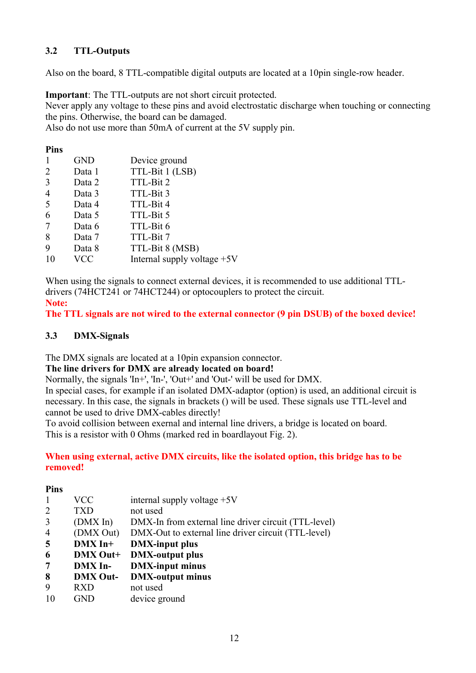# **3.2 TTL-Outputs**

Also on the board, 8 TTL-compatible digital outputs are located at a 10pin single-row header.

**Important**: The TTL-outputs are not short circuit protected.

Never apply any voltage to these pins and avoid electrostatic discharge when touching or connecting the pins. Otherwise, the board can be damaged.

Also do not use more than 50mA of current at the 5V supply pin.

#### **Pins**

|                | <b>GND</b> | Device ground                 |
|----------------|------------|-------------------------------|
| 2              | Data 1     | TTL-Bit 1 (LSB)               |
| 3              | Data 2     | TTL-Bit 2                     |
| $\overline{4}$ | Data 3     | TTL-Bit 3                     |
| 5              | Data 4     | TTL-Bit 4                     |
| 6              | Data 5     | TTL-Bit 5                     |
| -7             | Data 6     | TTL-Bit 6                     |
| 8              | Data 7     | TTL-Bit 7                     |
| 9              | Data 8     | TTL-Bit 8 (MSB)               |
| 10             | <b>VCC</b> | Internal supply voltage $+5V$ |
|                |            |                               |

When using the signals to connect external devices, it is recommended to use additional TTLdrivers (74HCT241 or 74HCT244) or optocouplers to protect the circuit.

#### **Note:**

**The TTL signals are not wired to the external connector (9 pin DSUB) of the boxed device!**

## **3.3 DMX-Signals**

The DMX signals are located at a 10pin expansion connector.

#### **The line drivers for DMX are already located on board!**

Normally, the signals 'In+', 'In-', 'Out+' and 'Out-' will be used for DMX.

In special cases, for example if an isolated DMX-adaptor (option) is used, an additional circuit is necessary. In this case, the signals in brackets () will be used. These signals use TTL-level and cannot be used to drive DMX-cables directly!

To avoid collision between exernal and internal line drivers, a bridge is located on board. This is a resistor with 0 Ohms (marked red in boardlayout Fig. 2).

#### **When using external, active DMX circuits, like the isolated option, this bridge has to be removed!**

#### **Pins**

|                | VCC             | internal supply voltage $+5V$                        |
|----------------|-----------------|------------------------------------------------------|
| 2              | TXD             | not used                                             |
| 3              | (DMX In)        | DMX-In from external line driver circuit (TTL-level) |
| $\overline{4}$ | (DMX Out)       | DMX-Out to external line driver circuit (TTL-level)  |
| $\overline{5}$ | $DMX$ In+       | <b>DMX-input plus</b>                                |
| 6              | DMX Out+        | <b>DMX-output plus</b>                               |
| 7              | <b>DMX</b> In-  | <b>DMX-input minus</b>                               |
| 8              | <b>DMX Out-</b> | <b>DMX-output minus</b>                              |
| 9              | <b>RXD</b>      | not used                                             |
| -10            | GND             | device ground                                        |
|                |                 |                                                      |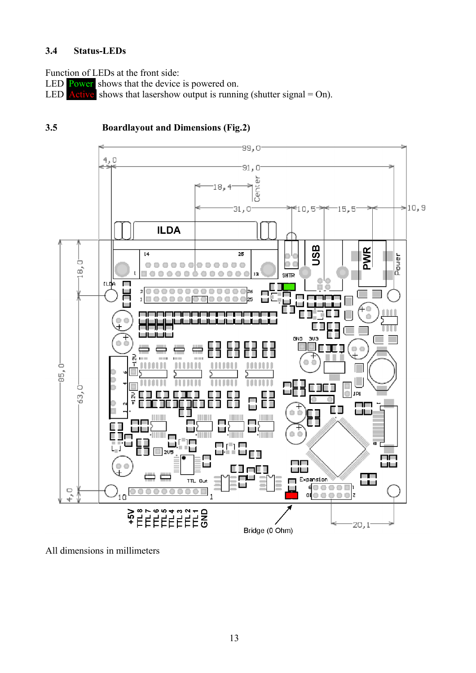# **3.4 Status-LEDs**

Function of LEDs at the front side:

LED Power shows that the device is powered on.

LED **Active** shows that lasershow output is running (shutter signal = On).

#### -99,0- $4,0$ 91, O à 18, Cent  $>10, 9$ 31,0 10,5 15,5 **ILDA** USB **PWR**  $\overline{14}$  $\overline{25}$ Pouer ö  $000$  $000$  $000$  $O<sub>D</sub>$  $\circ$  $\vec{\infty}$ ...... 00000 C) 13 **SHTR** tude П Г Г Ξo 도<u>모</u> m  $\mathfrak{m}$ C) be h. ட Е ⊒ п Е  $\overline{\phantom{a}}$ Ш ш استقطات المراز GND 303  $\circ$   $\circ$ т Ī 료 ö  $-95,0$ m n n 63.0 JPL H  $\frac{2}{3}$ П ПO ΕD سالسا Г Ē d) п h.  $2\sqrt{5}$ П П l III ПП ÌЩ أطألط نعتف وي<br>أما Expansion TTL Out  $(00000)$  $\frac{4}{1}$  $b_{10}$ 1  $rac{1}{10}$ <br>M<sub>3</sub>+ **HEEFEES**<br>HEEFEEE 20, t Bridge (0 Ohm)

# **3.5 Boardlayout and Dimensions (Fig.2)**

All dimensions in millimeters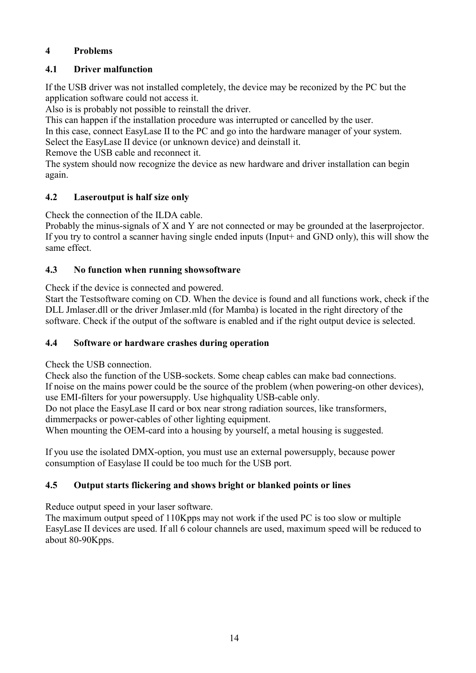# **4 Problems**

# **4.1 Driver malfunction**

If the USB driver was not installed completely, the device may be reconized by the PC but the application software could not access it.

Also is is probably not possible to reinstall the driver.

This can happen if the installation procedure was interrupted or cancelled by the user.

In this case, connect EasyLase II to the PC and go into the hardware manager of your system. Select the EasyLase II device (or unknown device) and deinstall it.

Remove the USB cable and reconnect it.

The system should now recognize the device as new hardware and driver installation can begin again.

# **4.2 Laseroutput is half size only**

Check the connection of the ILDA cable.

Probably the minus-signals of X and Y are not connected or may be grounded at the laserprojector. If you try to control a scanner having single ended inputs (Input+ and GND only), this will show the same effect.

# **4.3 No function when running showsoftware**

Check if the device is connected and powered.

Start the Testsoftware coming on CD. When the device is found and all functions work, check if the DLL Jmlaser.dll or the driver Jmlaser.mld (for Mamba) is located in the right directory of the software. Check if the output of the software is enabled and if the right output device is selected.

# **4.4 Software or hardware crashes during operation**

Check the USB connection.

Check also the function of the USB-sockets. Some cheap cables can make bad connections. If noise on the mains power could be the source of the problem (when powering-on other devices), use EMI-filters for your powersupply. Use highquality USB-cable only.

Do not place the EasyLase II card or box near strong radiation sources, like transformers, dimmerpacks or power-cables of other lighting equipment.

When mounting the OEM-card into a housing by yourself, a metal housing is suggested.

If you use the isolated DMX-option, you must use an external powersupply, because power consumption of Easylase II could be too much for the USB port.

# **4.5 Output starts flickering and shows bright or blanked points or lines**

Reduce output speed in your laser software.

The maximum output speed of 110Kpps may not work if the used PC is too slow or multiple EasyLase II devices are used. If all 6 colour channels are used, maximum speed will be reduced to about 80-90Kpps.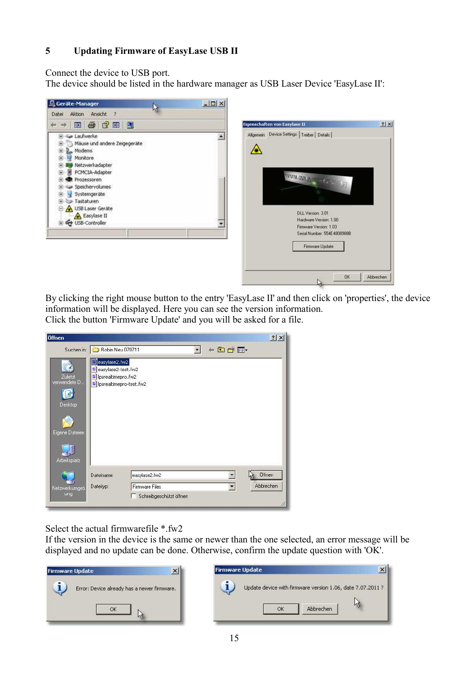# **5 Updating Firmware of EasyLase USB II**

Connect the device to USB port.

The device should be listed in the hardware manager as USB Laser Device 'EasyLase II':



By clicking the right mouse button to the entry 'EasyLase II' and then click on 'properties', the device information will be displayed. Here you can see the version information. Click the button 'Firmware Update' and you will be asked for a file.



Select the actual firmwarefile \*.fw2

If the version in the device is the same or newer than the one selected, an error message will be displayed and no update can be done. Otherwise, confirm the update question with 'OK'.



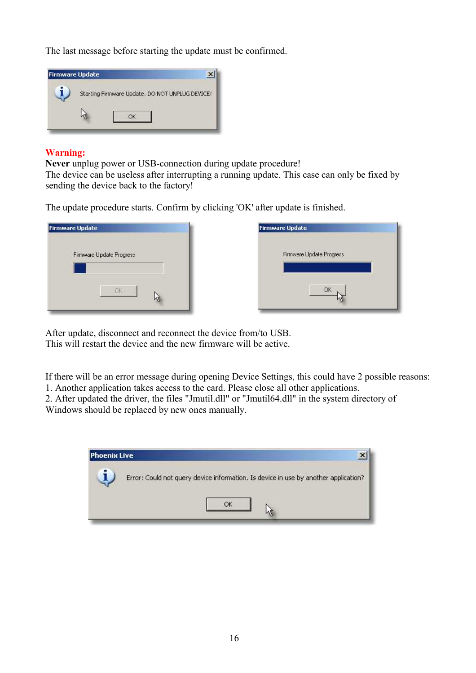The last message before starting the update must be confirmed.



# **Warning:**

**Never** unplug power or USB-connection during update procedure!

The device can be useless after interrupting a running update. This case can only be fixed by sending the device back to the factory!

The update procedure starts. Confirm by clicking 'OK' after update is finished.





After update, disconnect and reconnect the device from/to USB. This will restart the device and the new firmware will be active.

If there will be an error message during opening Device Settings, this could have 2 possible reasons: 1. Another application takes access to the card. Please close all other applications.

2. After updated the driver, the files "Jmutil.dll" or "Jmutil64.dll" in the system directory of Windows should be replaced by new ones manually.

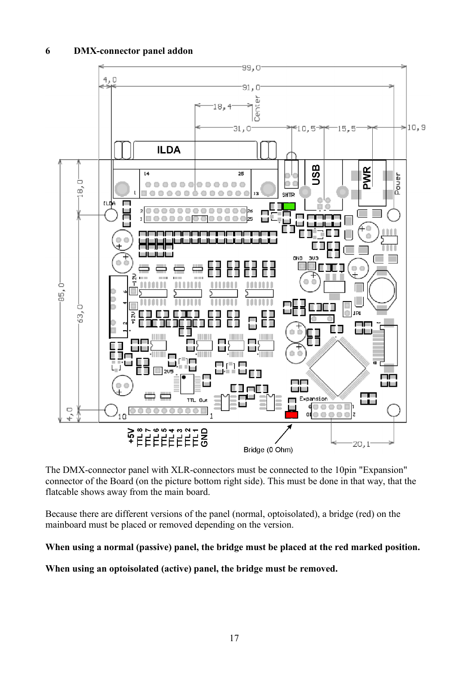

The DMX-connector panel with XLR-connectors must be connected to the 10pin "Expansion" connector of the Board (on the picture bottom right side). This must be done in that way, that the flatcable shows away from the main board.

Because there are different versions of the panel (normal, optoisolated), a bridge (red) on the mainboard must be placed or removed depending on the version.

#### **When using a normal (passive) panel, the bridge must be placed at the red marked position.**

**When using an optoisolated (active) panel, the bridge must be removed.**